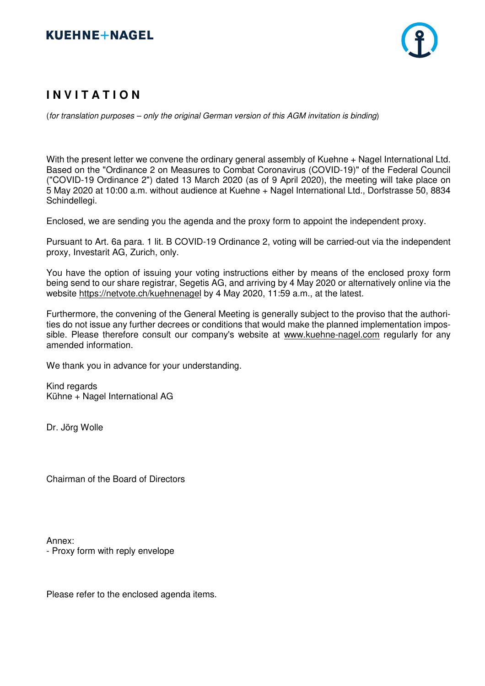

# **I N V I T A T I O N**

(for translation purposes – only the original German version of this AGM invitation is binding)

With the present letter we convene the ordinary general assembly of Kuehne + Nagel International Ltd. Based on the "Ordinance 2 on Measures to Combat Coronavirus (COVID-19)" of the Federal Council ("COVID-19 Ordinance 2") dated 13 March 2020 (as of 9 April 2020), the meeting will take place on 5 May 2020 at 10:00 a.m. without audience at Kuehne + Nagel International Ltd., Dorfstrasse 50, 8834 Schindellegi.

Enclosed, we are sending you the agenda and the proxy form to appoint the independent proxy.

Pursuant to Art. 6a para. 1 lit. B COVID-19 Ordinance 2, voting will be carried-out via the independent proxy, Investarit AG, Zurich, only.

You have the option of issuing your voting instructions either by means of the enclosed proxy form being send to our share registrar, Segetis AG, and arriving by 4 May 2020 or alternatively online via the website https://netvote.ch/kuehnenagel by 4 May 2020, 11:59 a.m., at the latest.

Furthermore, the convening of the General Meeting is generally subject to the proviso that the authorities do not issue any further decrees or conditions that would make the planned implementation impossible. Please therefore consult our company's website at www.kuehne-nagel.com regularly for any amended information.

We thank you in advance for your understanding.

Kind regards Kühne + Nagel International AG

Dr. Jörg Wolle

Chairman of the Board of Directors

Annex: - Proxy form with reply envelope

Please refer to the enclosed agenda items.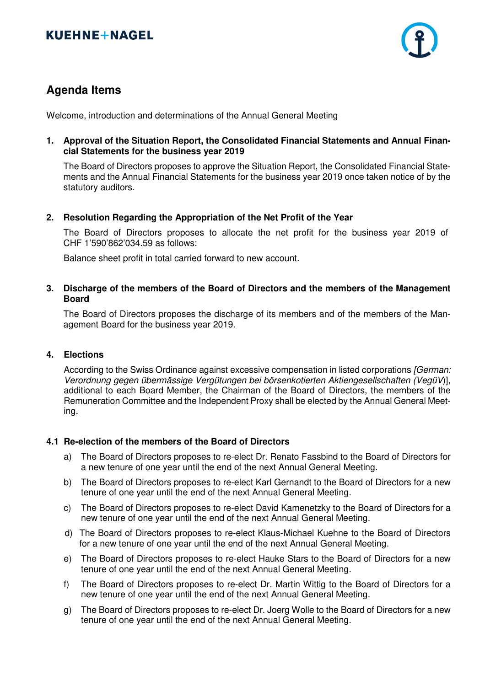

## **Agenda Items**

Welcome, introduction and determinations of the Annual General Meeting

**1. Approval of the Situation Report, the Consolidated Financial Statements and Annual Financial Statements for the business year 2019** 

The Board of Directors proposes to approve the Situation Report, the Consolidated Financial Statements and the Annual Financial Statements for the business year 2019 once taken notice of by the statutory auditors.

## **2. Resolution Regarding the Appropriation of the Net Profit of the Year**

The Board of Directors proposes to allocate the net profit for the business year 2019 of CHF 1'590'862'034.59 as follows:

Balance sheet profit in total carried forward to new account.

## **3. Discharge of the members of the Board of Directors and the members of the Management Board**

The Board of Directors proposes the discharge of its members and of the members of the Management Board for the business year 2019.

## **4. Elections**

According to the Swiss Ordinance against excessive compensation in listed corporations [German: Verordnung gegen übermässige Vergütungen bei börsenkotierten Aktiengesellschaften (VegüV)], additional to each Board Member, the Chairman of the Board of Directors, the members of the Remuneration Committee and the Independent Proxy shall be elected by the Annual General Meeting.

## **4.1 Re-election of the members of the Board of Directors**

- a) The Board of Directors proposes to re-elect Dr. Renato Fassbind to the Board of Directors for a new tenure of one year until the end of the next Annual General Meeting.
- b) The Board of Directors proposes to re-elect Karl Gernandt to the Board of Directors for a new tenure of one year until the end of the next Annual General Meeting.
- c) The Board of Directors proposes to re-elect David Kamenetzky to the Board of Directors for a new tenure of one year until the end of the next Annual General Meeting.
- d) The Board of Directors proposes to re-elect Klaus-Michael Kuehne to the Board of Directors for a new tenure of one year until the end of the next Annual General Meeting.
- e) The Board of Directors proposes to re-elect Hauke Stars to the Board of Directors for a new tenure of one year until the end of the next Annual General Meeting.
- f) The Board of Directors proposes to re-elect Dr. Martin Wittig to the Board of Directors for a new tenure of one year until the end of the next Annual General Meeting.
- g) The Board of Directors proposes to re-elect Dr. Joerg Wolle to the Board of Directors for a new tenure of one year until the end of the next Annual General Meeting.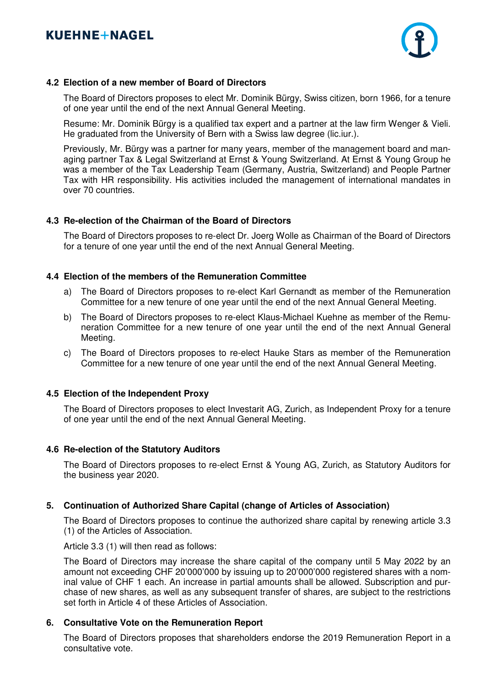

## **4.2 Election of a new member of Board of Directors**

The Board of Directors proposes to elect Mr. Dominik Bürgy, Swiss citizen, born 1966, for a tenure of one year until the end of the next Annual General Meeting.

Resume: Mr. Dominik Bürgy is a qualified tax expert and a partner at the law firm Wenger & Vieli. He graduated from the University of Bern with a Swiss law degree (lic.iur.).

 Previously, Mr. Bürgy was a partner for many years, member of the management board and managing partner Tax & Legal Switzerland at Ernst & Young Switzerland. At Ernst & Young Group he was a member of the Tax Leadership Team (Germany, Austria, Switzerland) and People Partner Tax with HR responsibility. His activities included the management of international mandates in over 70 countries.

## **4.3 Re-election of the Chairman of the Board of Directors**

The Board of Directors proposes to re-elect Dr. Joerg Wolle as Chairman of the Board of Directors for a tenure of one year until the end of the next Annual General Meeting.

## **4.4 Election of the members of the Remuneration Committee**

- a) The Board of Directors proposes to re-elect Karl Gernandt as member of the Remuneration Committee for a new tenure of one year until the end of the next Annual General Meeting.
- b) The Board of Directors proposes to re-elect Klaus-Michael Kuehne as member of the Remuneration Committee for a new tenure of one year until the end of the next Annual General Meeting.
- c) The Board of Directors proposes to re-elect Hauke Stars as member of the Remuneration Committee for a new tenure of one year until the end of the next Annual General Meeting.

## **4.5 Election of the Independent Proxy**

The Board of Directors proposes to elect Investarit AG, Zurich, as Independent Proxy for a tenure of one year until the end of the next Annual General Meeting.

## **4.6 Re-election of the Statutory Auditors**

 The Board of Directors proposes to re-elect Ernst & Young AG, Zurich, as Statutory Auditors for the business year 2020.

## **5. Continuation of Authorized Share Capital (change of Articles of Association)**

 The Board of Directors proposes to continue the authorized share capital by renewing article 3.3 (1) of the Articles of Association.

Article 3.3 (1) will then read as follows:

 The Board of Directors may increase the share capital of the company until 5 May 2022 by an amount not exceeding CHF 20'000'000 by issuing up to 20'000'000 registered shares with a nominal value of CHF 1 each. An increase in partial amounts shall be allowed. Subscription and purchase of new shares, as well as any subsequent transfer of shares, are subject to the restrictions set forth in Article 4 of these Articles of Association.

## **6. Consultative Vote on the Remuneration Report**

 The Board of Directors proposes that shareholders endorse the 2019 Remuneration Report in a consultative vote.